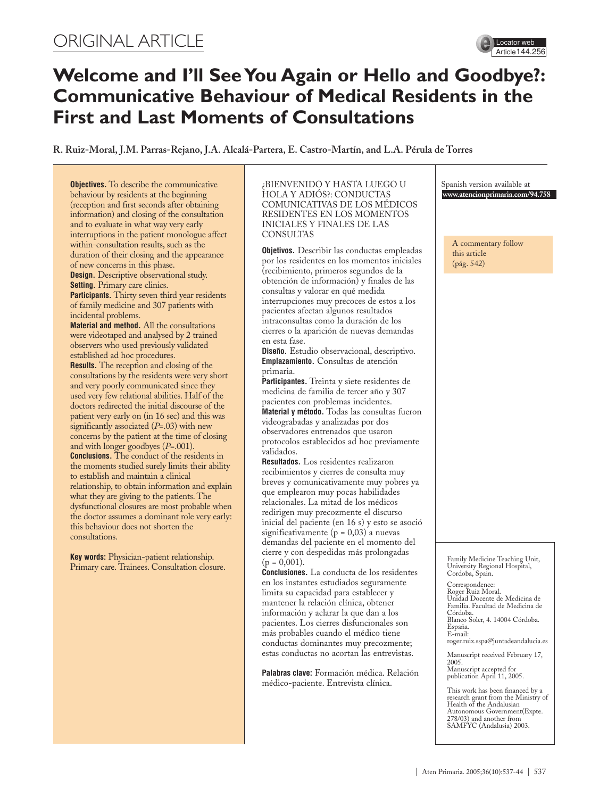# ORIGINAL ARTICLE



# **Welcome and I'll See You Again or Hello and Goodbye?: Communicative Behaviour of Medical Residents in the First and Last Moments of Consultations**

**R. Ruiz-Moral, J.M. Parras-Rejano, J.A. Alcalá-Partera, E. Castro-Martín, and L.A. Pérula de Torres**

**Objectives.** To describe the communicative behaviour by residents at the beginning (reception and first seconds after obtaining information) and closing of the consultation and to evaluate in what way very early interruptions in the patient monologue affect within-consultation results, such as the duration of their closing and the appearance of new concerns in this phase. **Design.** Descriptive observational study. **Setting.** Primary care clinics. **Participants.** Thirty seven third year residents of family medicine and 307 patients with incidental problems. **Material and method.** All the consultations were videotaped and analysed by 2 trained observers who used previously validated established ad hoc procedures. **Results.** The reception and closing of the consultations by the residents were very short and very poorly communicated since they used very few relational abilities. Half of the doctors redirected the initial discourse of the patient very early on (in 16 sec) and this was significantly associated (*P*=.03) with new concerns by the patient at the time of closing and with longer goodbyes (*P*=.001). **Conclusions.** The conduct of the residents in the moments studied surely limits their ability to establish and maintain a clinical relationship, to obtain information and explain what they are giving to the patients. The dysfunctional closures are most probable when the doctor assumes a dominant role very early: this behaviour does not shorten the consultations.

**Key words:** Physician-patient relationship. Primary care. Trainees. Consultation closure.

#### ¿BIENVENIDO Y HASTA LUEGO U HOLA Y ADIÓS?: CONDUCTAS COMUNICATIVAS DE LOS MÉDICOS RESIDENTES EN LOS MOMENTOS INICIALES Y FINALES DE LAS **CONSULTAS**

**Objetivos.** Describir las conductas empleadas por los residentes en los momentos iniciales (recibimiento, primeros segundos de la obtención de información) y finales de las consultas y valorar en qué medida interrupciones muy precoces de estos a los pacientes afectan algunos resultados intraconsultas como la duración de los cierres o la aparición de nuevas demandas en esta fase.

**Diseño.** Estudio observacional, descriptivo. **Emplazamiento.** Consultas de atención primaria.

**Participantes.** Treinta y siete residentes de medicina de familia de tercer año y 307 pacientes con problemas incidentes. **Material y método.** Todas las consultas fueron videograbadas y analizadas por dos observadores entrenados que usaron protocolos establecidos ad hoc previamente validados.

**Resultados.** Los residentes realizaron recibimientos y cierres de consulta muy breves y comunicativamente muy pobres ya que emplearon muy pocas habilidades relacionales. La mitad de los médicos redirigen muy precozmente el discurso inicial del paciente (en 16 s) y esto se asoció significativamente ( $p = 0.03$ ) a nuevas demandas del paciente en el momento del cierre y con despedidas más prolongadas  $(p = 0,001)$ .

**Conclusiones.** La conducta de los residentes en los instantes estudiados seguramente limita su capacidad para establecer y mantener la relación clínica, obtener información y aclarar la que dan a los pacientes. Los cierres disfuncionales son más probables cuando el médico tiene conductas dominantes muy precozmente; estas conductas no acortan las entrevistas.

**Palabras clave:** Formación médica. Relación médico-paciente. Entrevista clínica.

Spanish version available at **www.atencionprimaria.com/94.758**

A commentary follow this article (pág. 542)

Family Medicine Teaching Unit, University Regional Hospital, Cordoba, Spain.

Correspondence: Roger Ruiz Moral. Unidad Docente de Medicina de Familia. Facultad de Medicina de Córdoba. Blanco Soler, 4. 14004 Córdoba. España. E-mail: roger.ruiz.sspa@juntadeandalucia.es

Manuscript received February 17, 2005.

Manuscript accepted for publication April 11, 2005.

This work has been financed by a research grant from the Ministry of Health of the Andalusian Autonomous Government(Expte. 278/03) and another from SAMFYC (Andalusia) 2003.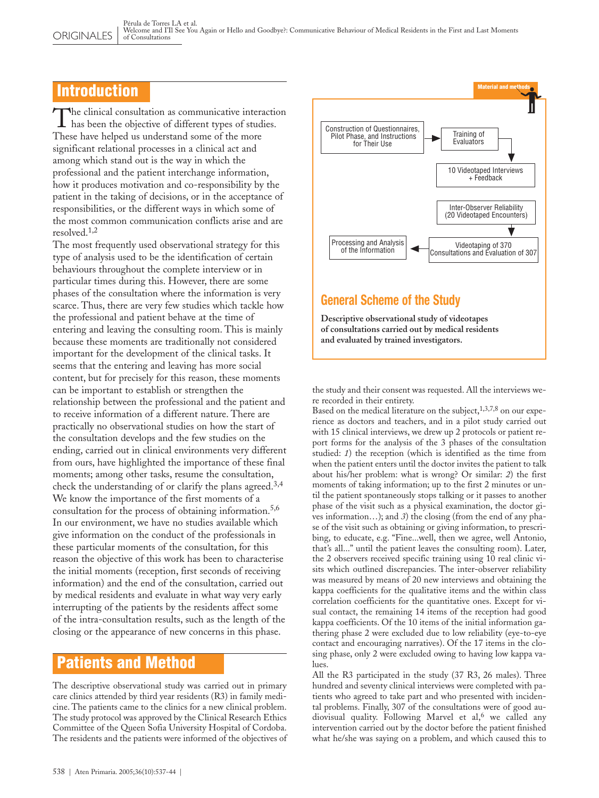## Introduction

The clinical consultation as communicative interactions been the objective of different types of studies. he clinical consultation as communicative interaction These have helped us understand some of the more significant relational processes in a clinical act and among which stand out is the way in which the professional and the patient interchange information, how it produces motivation and co-responsibility by the patient in the taking of decisions, or in the acceptance of responsibilities, or the different ways in which some of the most common communication conflicts arise and are resolved  $1,2$ 

The most frequently used observational strategy for this type of analysis used to be the identification of certain behaviours throughout the complete interview or in particular times during this. However, there are some phases of the consultation where the information is very scarce. Thus, there are very few studies which tackle how the professional and patient behave at the time of entering and leaving the consulting room. This is mainly because these moments are traditionally not considered important for the development of the clinical tasks. It seems that the entering and leaving has more social content, but for precisely for this reason, these moments can be important to establish or strengthen the relationship between the professional and the patient and to receive information of a different nature. There are practically no observational studies on how the start of the consultation develops and the few studies on the ending, carried out in clinical environments very different from ours, have highlighted the importance of these final moments; among other tasks, resume the consultation, check the understanding of or clarify the plans agreed.3,4 We know the importance of the first moments of a consultation for the process of obtaining information.<sup>5,6</sup> In our environment, we have no studies available which give information on the conduct of the professionals in these particular moments of the consultation, for this reason the objective of this work has been to characterise the initial moments (reception, first seconds of receiving information) and the end of the consultation, carried out by medical residents and evaluate in what way very early interrupting of the patients by the residents affect some of the intra-consultation results, such as the length of the closing or the appearance of new concerns in this phase.

## Patients and Method

The descriptive observational study was carried out in primary care clinics attended by third year residents (R3) in family medicine. The patients came to the clinics for a new clinical problem. The study protocol was approved by the Clinical Research Ethics Committee of the Queen Sofia University Hospital of Cordoba. The residents and the patients were informed of the objectives of





## **General Scheme of the Study**

**Descriptive observational study of videotapes of consultations carried out by medical residents and evaluated by trained investigators.**

the study and their consent was requested. All the interviews were recorded in their entirety.

Based on the medical literature on the subject,  $1,3,7,8$  on our experience as doctors and teachers, and in a pilot study carried out with 15 clinical interviews, we drew up 2 protocols or patient report forms for the analysis of the 3 phases of the consultation studied: *1*) the reception (which is identified as the time from when the patient enters until the doctor invites the patient to talk about his/her problem: what is wrong? Or similar: *2*) the first moments of taking information; up to the first 2 minutes or until the patient spontaneously stops talking or it passes to another phase of the visit such as a physical examination, the doctor gives information…); and *3*) the closing (from the end of any phase of the visit such as obtaining or giving information, to prescribing, to educate, e.g. "Fine...well, then we agree, well Antonio, that's all..." until the patient leaves the consulting room). Later, the 2 observers received specific training using 10 real clinic visits which outlined discrepancies. The inter-observer reliability was measured by means of 20 new interviews and obtaining the kappa coefficients for the qualitative items and the within class correlation coefficients for the quantitative ones. Except for visual contact, the remaining 14 items of the reception had good kappa coefficients. Of the 10 items of the initial information gathering phase 2 were excluded due to low reliability (eye-to-eye contact and encouraging narratives). Of the 17 items in the closing phase, only 2 were excluded owing to having low kappa values.

All the R3 participated in the study (37 R3, 26 males). Three hundred and seventy clinical interviews were completed with patients who agreed to take part and who presented with incidental problems. Finally, 307 of the consultations were of good audiovisual quality. Following Marvel et al,<sup>6</sup> we called any intervention carried out by the doctor before the patient finished what he/she was saying on a problem, and which caused this to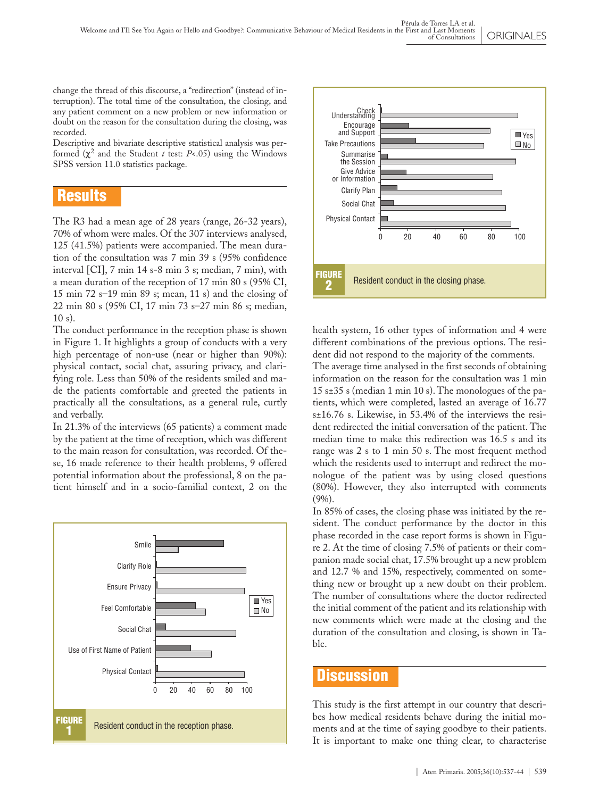change the thread of this discourse, a "redirection" (instead of interruption). The total time of the consultation, the closing, and any patient comment on a new problem or new information or doubt on the reason for the consultation during the closing, was recorded.

Descriptive and bivariate descriptive statistical analysis was performed (χ 2 and the Student *t* test: *P*<.05) using the Windows SPSS version 11.0 statistics package.

## Results

The R3 had a mean age of 28 years (range, 26-32 years), 70% of whom were males. Of the 307 interviews analysed, 125 (41.5%) patients were accompanied. The mean duration of the consultation was 7 min 39 s (95% confidence interval [CI], 7 min 14 s-8 min 3 s; median, 7 min), with a mean duration of the reception of 17 min 80 s (95% CI, 15 min 72 s–19 min 89 s; mean, 11 s) and the closing of 22 min 80 s (95% CI, 17 min 73 s–27 min 86 s; median, 10 s).

The conduct performance in the reception phase is shown in Figure 1. It highlights a group of conducts with a very high percentage of non-use (near or higher than 90%): physical contact, social chat, assuring privacy, and clarifying role. Less than 50% of the residents smiled and made the patients comfortable and greeted the patients in practically all the consultations, as a general rule, curtly and verbally.

In 21.3% of the interviews (65 patients) a comment made by the patient at the time of reception, which was different to the main reason for consultation, was recorded. Of these, 16 made reference to their health problems, 9 offered potential information about the professional, 8 on the patient himself and in a socio-familial context, 2 on the





health system, 16 other types of information and 4 were different combinations of the previous options. The resident did not respond to the majority of the comments.

The average time analysed in the first seconds of obtaining information on the reason for the consultation was 1 min 15 s±35 s (median 1 min 10 s). The monologues of the patients, which were completed, lasted an average of 16.77 s±16.76 s. Likewise, in 53.4% of the interviews the resident redirected the initial conversation of the patient. The median time to make this redirection was 16.5 s and its range was 2 s to 1 min 50 s. The most frequent method which the residents used to interrupt and redirect the monologue of the patient was by using closed questions (80%). However, they also interrupted with comments (9%).

In 85% of cases, the closing phase was initiated by the resident. The conduct performance by the doctor in this phase recorded in the case report forms is shown in Figure 2. At the time of closing 7.5% of patients or their companion made social chat, 17.5% brought up a new problem and 12.7 % and 15%, respectively, commented on something new or brought up a new doubt on their problem. The number of consultations where the doctor redirected the initial comment of the patient and its relationship with new comments which were made at the closing and the duration of the consultation and closing, is shown in Table.

### Discussion

This study is the first attempt in our country that describes how medical residents behave during the initial moments and at the time of saying goodbye to their patients. It is important to make one thing clear, to characterise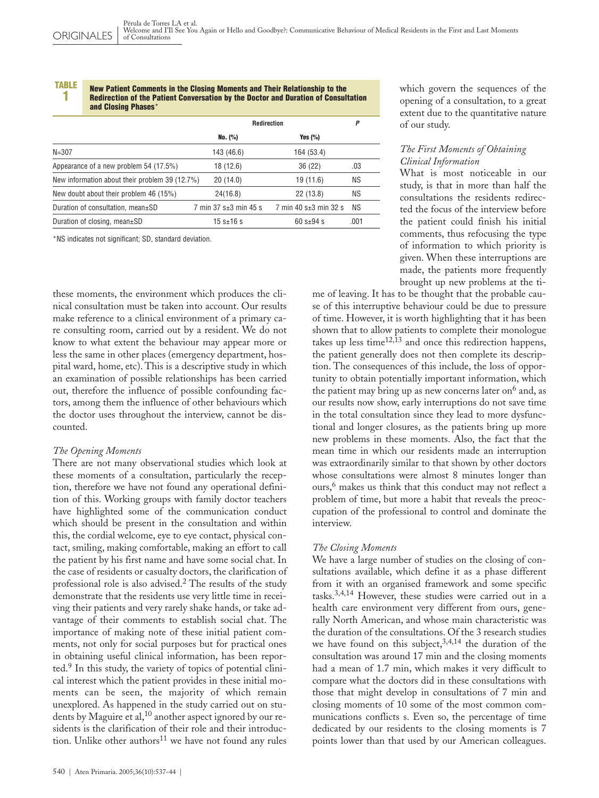#### TABLE 1

#### New Patient Comments in the Closing Moments and Their Relationship to the Redirection of the Patient Conversation by the Doctor and Duration of Consultation and Closing Phases\*

|                                                | Redirection           |                       | P    |
|------------------------------------------------|-----------------------|-----------------------|------|
|                                                | No. (%)               | Yes $(\%)$            |      |
| $N = 307$                                      | 143 (46.6)            | 164 (53.4)            |      |
| Appearance of a new problem 54 (17.5%)         | 18 (12.6)             | 36(22)                | .03  |
| New information about their problem 39 (12.7%) | 20(14.0)              | 19 (11.6)             | ΝS   |
| New doubt about their problem 46 (15%)         | 24(16.8)              | 22(13.8)              | ΝS   |
| Duration of consultation, mean±SD              | 7 min 37 s±3 min 45 s | 7 min 40 s±3 min 32 s | ΝS   |
| Duration of closing, mean±SD                   | 15 s $\pm$ 16 s       | $60 s + 94 s$         | .001 |

\*NS indicates not significant; SD, standard deviation.

these moments, the environment which produces the clinical consultation must be taken into account. Our results make reference to a clinical environment of a primary care consulting room, carried out by a resident. We do not know to what extent the behaviour may appear more or less the same in other places (emergency department, hospital ward, home, etc). This is a descriptive study in which an examination of possible relationships has been carried out, therefore the influence of possible confounding factors, among them the influence of other behaviours which the doctor uses throughout the interview, cannot be discounted.

#### *The Opening Moments*

There are not many observational studies which look at these moments of a consultation, particularly the reception, therefore we have not found any operational definition of this. Working groups with family doctor teachers have highlighted some of the communication conduct which should be present in the consultation and within this, the cordial welcome, eye to eye contact, physical contact, smiling, making comfortable, making an effort to call the patient by his first name and have some social chat. In the case of residents or casualty doctors, the clarification of professional role is also advised.<sup>2</sup> The results of the study demonstrate that the residents use very little time in receiving their patients and very rarely shake hands, or take advantage of their comments to establish social chat. The importance of making note of these initial patient comments, not only for social purposes but for practical ones in obtaining useful clinical information, has been reported.<sup>9</sup> In this study, the variety of topics of potential clinical interest which the patient provides in these initial moments can be seen, the majority of which remain unexplored. As happened in the study carried out on students by Maguire et al,  $^{10}$  another aspect ignored by our residents is the clarification of their role and their introduction. Unlike other authors<sup>11</sup> we have not found any rules

#### *The First Moments of Obtaining Clinical Information*

What is most noticeable in our study, is that in more than half the consultations the residents redirected the focus of the interview before the patient could finish his initial comments, thus refocusing the type of information to which priority is given. When these interruptions are made, the patients more frequently brought up new problems at the ti-

me of leaving. It has to be thought that the probable cause of this interruptive behaviour could be due to pressure of time. However, it is worth highlighting that it has been shown that to allow patients to complete their monologue takes up less time $12,13$  and once this redirection happens, the patient generally does not then complete its description. The consequences of this include, the loss of opportunity to obtain potentially important information, which the patient may bring up as new concerns later on $6$  and, as our results now show, early interruptions do not save time in the total consultation since they lead to more dysfunctional and longer closures, as the patients bring up more new problems in these moments. Also, the fact that the mean time in which our residents made an interruption was extraordinarily similar to that shown by other doctors whose consultations were almost 8 minutes longer than ours,<sup>6</sup> makes us think that this conduct may not reflect a problem of time, but more a habit that reveals the preoccupation of the professional to control and dominate the interview.

#### *The Closing Moments*

We have a large number of studies on the closing of consultations available, which define it as a phase different from it with an organised framework and some specific tasks.3,4,14 However, these studies were carried out in a health care environment very different from ours, generally North American, and whose main characteristic was the duration of the consultations. Of the 3 research studies we have found on this subject,  $3,4,14$  the duration of the consultation was around 17 min and the closing moments had a mean of 1.7 min, which makes it very difficult to compare what the doctors did in these consultations with those that might develop in consultations of 7 min and closing moments of 10 some of the most common communications conflicts s. Even so, the percentage of time dedicated by our residents to the closing moments is 7 points lower than that used by our American colleagues.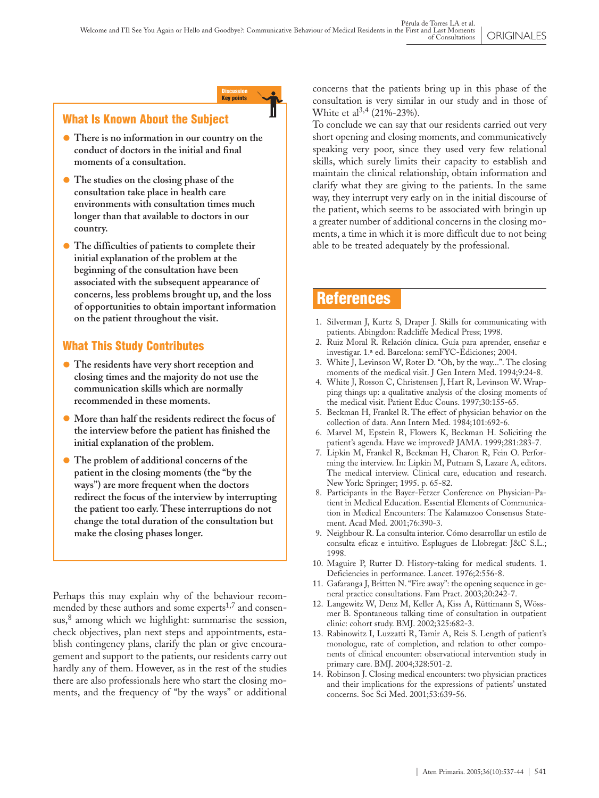Discussion Key points

### What Is Known About the Subject

- **• There is no information in our country on the conduct of doctors in the initial and final moments of a consultation.**
- **• The studies on the closing phase of the consultation take place in health care environments with consultation times much longer than that available to doctors in our country.**
- **• The difficulties of patients to complete their initial explanation of the problem at the beginning of the consultation have been associated with the subsequent appearance of concerns, less problems brought up, and the loss of opportunities to obtain important information on the patient throughout the visit.**

### What This Study Contributes

- The residents have very short reception and<br>closing times and the majority do not use the **closing times and the majority do not use the communication skills which are normally recommended in these moments.**
- **• More than half the residents redirect the focus of the interview before the patient has finished the initial explanation of the problem.**
- **• The problem of additional concerns of the patient in the closing moments (the "by the ways") are more frequent when the doctors redirect the focus of the interview by interrupting the patient too early. These interruptions do not change the total duration of the consultation but make the closing phases longer.**

Perhaps this may explain why of the behaviour recommended by these authors and some experts<sup>1,7</sup> and consensus,<sup>8</sup> among which we highlight: summarise the session, check objectives, plan next steps and appointments, establish contingency plans, clarify the plan or give encouragement and support to the patients, our residents carry out hardly any of them. However, as in the rest of the studies there are also professionals here who start the closing moments, and the frequency of "by the ways" or additional concerns that the patients bring up in this phase of the consultation is very similar in our study and in those of White et al<sup>3,4</sup> (21%-23%).

To conclude we can say that our residents carried out very short opening and closing moments, and communicatively speaking very poor, since they used very few relational skills, which surely limits their capacity to establish and maintain the clinical relationship, obtain information and clarify what they are giving to the patients. In the same way, they interrupt very early on in the initial discourse of the patient, which seems to be associated with bringin up a greater number of additional concerns in the closing moments, a time in which it is more difficult due to not being able to be treated adequately by the professional.

## References

- 1. Silverman J, Kurtz S, Draper J. Skills for communicating with patients. Abingdon: Radcliffe Medical Press; 1998.
- 2. Ruiz Moral R. Relación clínica. Guía para aprender, enseñar e investigar. 1.ª ed. Barcelona: semFYC-Ediciones; 2004.
- 3. White J, Levinson W, Roter D. "Oh, by the way...". The closing moments of the medical visit. J Gen Intern Med. 1994;9:24-8.
- 4. White J, Rosson C, Christensen J, Hart R, Levinson W. Wrapping things up: a qualitative analysis of the closing moments of the medical visit. Patient Educ Couns. 1997;30:155-65.
- 5. Beckman H, Frankel R. The effect of physician behavior on the collection of data. Ann Intern Med. 1984;101:692-6.
- 6. Marvel M, Epstein R, Flowers K, Beckman H. Soliciting the patient's agenda. Have we improved? JAMA. 1999;281:283-7.
- 7. Lipkin M, Frankel R, Beckman H, Charon R, Fein O. Performing the interview. In: Lipkin M, Putnam S, Lazare A, editors. The medical interview. Clinical care, education and research. New York: Springer; 1995. p. 65-82.
- 8. Participants in the Bayer-Fetzer Conference on Physician-Patient in Medical Education. Essential Elements of Communication in Medical Encounters: The Kalamazoo Consensus Statement. Acad Med. 2001;76:390-3.
- 9. Neighbour R. La consulta interior. Cómo desarrollar un estilo de consulta eficaz e intuitivo. Esplugues de Llobregat: J&C S.L.; 1998.
- 10. Maguire P, Rutter D. History-taking for medical students. 1. Deficiencies in performance. Lancet. 1976;2:556-8.
- 11. Gafaranga J, Britten N. "Fire away": the opening sequence in general practice consultations. Fam Pract. 2003;20:242-7.
- 12. Langewitz W, Denz M, Keller A, Kiss A, Rüttimann S, Wössmer B. Spontaneous talking time of consultation in outpatient clinic: cohort study. BMJ. 2002;325:682-3.
- 13. Rabinowitz I, Luzzatti R, Tamir A, Reis S. Length of patient's monologue, rate of completion, and relation to other components of clinical encounter: observational intervention study in primary care. BMJ. 2004;328:501-2.
- 14. Robinson J. Closing medical encounters: two physician practices and their implications for the expressions of patients' unstated concerns. Soc Sci Med. 2001;53:639-56.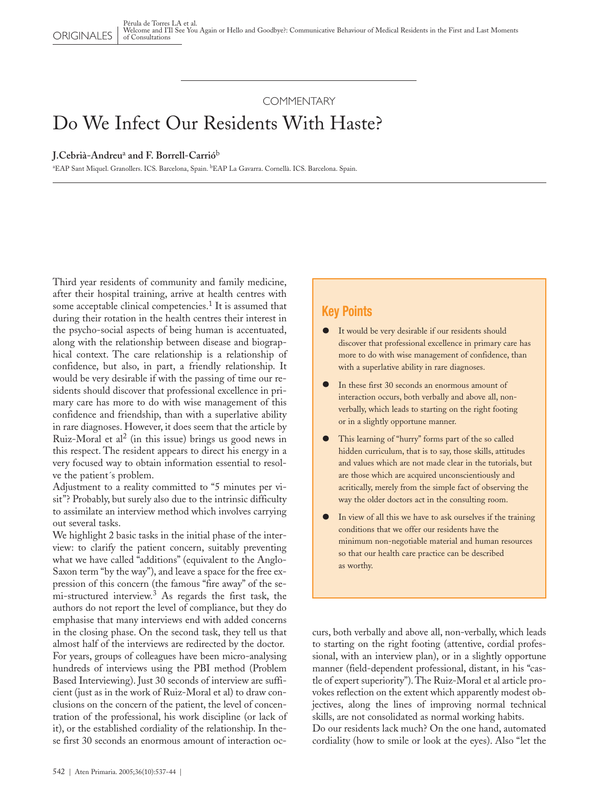**COMMENTARY** 

# Do We Infect Our Residents With Haste?

#### **J.Cebrià-Andreu**<sup>a</sup> **and F. Borrell-Carrió**<sup>b</sup>

<sup>a</sup>EAP Sant Miquel. Granollers. ICS. Barcelona, Spain. <sup>b</sup>EAP La Gavarra. Cornellà. ICS. Barcelona. Spain.

Third year residents of community and family medicine, after their hospital training, arrive at health centres with some acceptable clinical competencies.<sup>1</sup> It is assumed that during their rotation in the health centres their interest in the psycho-social aspects of being human is accentuated, along with the relationship between disease and biographical context. The care relationship is a relationship of confidence, but also, in part, a friendly relationship. It would be very desirable if with the passing of time our residents should discover that professional excellence in primary care has more to do with wise management of this confidence and friendship, than with a superlative ability in rare diagnoses. However, it does seem that the article by Ruiz-Moral et al<sup>2</sup> (in this issue) brings us good news in this respect. The resident appears to direct his energy in a very focused way to obtain information essential to resolve the patient´s problem.

Adjustment to a reality committed to "5 minutes per visit"? Probably, but surely also due to the intrinsic difficulty to assimilate an interview method which involves carrying out several tasks.

We highlight 2 basic tasks in the initial phase of the interview: to clarify the patient concern, suitably preventing what we have called "additions" (equivalent to the Anglo-Saxon term "by the way"), and leave a space for the free expression of this concern (the famous "fire away" of the semi-structured interview.<sup>3</sup> As regards the first task, the authors do not report the level of compliance, but they do emphasise that many interviews end with added concerns in the closing phase. On the second task, they tell us that almost half of the interviews are redirected by the doctor. For years, groups of colleagues have been micro-analysing hundreds of interviews using the PBI method (Problem Based Interviewing). Just 30 seconds of interview are sufficient (just as in the work of Ruiz-Moral et al) to draw conclusions on the concern of the patient, the level of concentration of the professional, his work discipline (or lack of it), or the established cordiality of the relationship. In these first 30 seconds an enormous amount of interaction oc-

### **Key Points**

- It would be very desirable if our residents should discover that professional excellence in primary care has more to do with wise management of confidence, than with a superlative ability in rare diagnoses.
- In these first 30 seconds an enormous amount of interaction occurs, both verbally and above all, nonverbally, which leads to starting on the right footing or in a slightly opportune manner.
- This learning of "hurry" forms part of the so called hidden curriculum, that is to say, those skills, attitudes and values which are not made clear in the tutorials, but are those which are acquired unconscientiously and acritically, merely from the simple fact of observing the way the older doctors act in the consulting room.
- In view of all this we have to ask ourselves if the training conditions that we offer our residents have the minimum non-negotiable material and human resources so that our health care practice can be described as worthy.

curs, both verbally and above all, non-verbally, which leads to starting on the right footing (attentive, cordial professional, with an interview plan), or in a slightly opportune manner (field-dependent professional, distant, in his "castle of expert superiority").The Ruiz-Moral et al article provokes reflection on the extent which apparently modest objectives, along the lines of improving normal technical skills, are not consolidated as normal working habits. Do our residents lack much? On the one hand, automated

cordiality (how to smile or look at the eyes). Also "let the